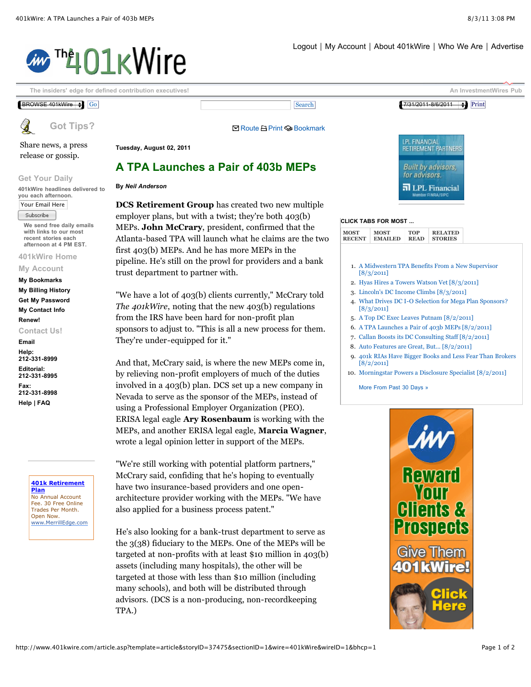## ™401kWire



[Share news, a press](http://www.401kwire.com/common/tips.asp?wire=401kWire) release or gossip.

**Tuesday, August 02, 2011**

**By** *[Neil Anderson](mailto:neil@investmentwires.com)*

## **A TPA Launches a Pair of 403b MEPs**

## **Get Your Daily**

**401kWire headlines delivered to you each afternoon.**  Your Email Here

Subscribe

**We send free daily emails with links to our most recent stories each afternoon at 4 PM EST.** 

**[401kWire Home](http://www.401kwire.com/)**

**[My Account](http://www.investmentwires.com/memserv/subacct.asp?purpose=ACCOUNT)**

**[My Bookmarks](http://www.401kwire.com/article.asp?template=article&storyID=37475§ionID=1&wire=401kWire&wireID=1&bhcp=1#) [My Billing History](http://www.investmentwires.com/memserv/subslist.asp?purpose=INVOICE) [Get My Password](http://www.investmentwires.com/memserv/login2.asp?purpose=GETPASS) [My Contact Info](http://www.investmentwires.com/memserv/subacct.asp?purpose=ACCOUNT) [Renew!](http://www.investmentwires.com/memserv/login.asp?purpose=INVOICE) Contact Us!**

**[Email](mailto:staff@investmentwires.com) Help: 212-331-8999 Editorial: 212-331-8995 Fax: 212-331-8998 [Help | FAQ](http://www.401kwire.com/about.asp)**

> **[401k Retirement](http://googleads.g.doubleclick.net/aclk?sa=l&ai=Bd4WwfZw5TvTGOYrF6Qb1pJWTCMTXhYIC3M_V3TLAjbcBkOZ1EAEYASDhwsUDOABQ44TSoAZgyZa5h-CjtBCgAeTDjOMDsgEQd3d3LjQwMWt3aXJlLmNvbboBCjEyNXgxMjVfYXPIAQHaAWxodHRwOi8vd3d3LjQwMWt3aXJlLmNvbS9hcnRpY2xlLmFzcD90ZW1wbGF0ZT1hcnRpY2xlJnN0b3J5SUQ9Mzc0NzUmc2VjdGlvbklEPTEmd2lyZT00MDFrV2lyZSZ3aXJlSUQ9MSZiaGNwPTHIAtzklRuoAwHIAxfoA-sE6AOHB_UDAgAAxA&num=1&sig=AOD64_1jiJMHou5hNIvw8Wg2uywkH6U27w&client=ca-pub-4669593659251858&adurl=http://clickserve.dartsearch.net/link/click%3Flid%3D43000000396004971%26ds_s_kwgid%3D58000000008657215%26ds_e_adid%3D13530066700%26ds_e_matchtype%3Dcontent%26ds_url_v%3D2) Plan**

No Annual Account Fee. 30 Free Online Trades Per Month. Open Now. www.MerrillEdge.com **DCS Retirement Group** has created two new multiple employer plans, but with a twist; they're both 403(b) MEPs. **John McCrary**, president, confirmed that the Atlanta-based TPA will launch what he claims are the two first 403(b) MEPs. And he has more MEPs in the pipeline. He's still on the prowl for providers and a bank trust department to partner with.

"We have a lot of 403(b) clients currently," McCrary told *The 401kWire*, noting that the new 403(b) regulations from the IRS have been hard for non-profit plan sponsors to adjust to. "This is all a new process for them. They're under-equipped for it."

And that, McCrary said, is where the new MEPs come in, by relieving non-profit employers of much of the duties involved in a 403(b) plan. DCS set up a new company in Nevada to serve as the sponsor of the MEPs, instead of using a Professional Employer Organization (PEO). ERISA legal eagle **Ary Rosenbaum** is working with the MEPs, and another ERISA legal eagle, **Marcia Wagner**, wrote a legal opinion letter in support of the MEPs.

"We're still working with potential platform partners," McCrary said, confiding that he's hoping to eventually have two insurance-based providers and one openarchitecture provider working with the MEPs. "We have also applied for a business process patent."

He's also looking for a bank-trust department to serve as the 3(38) fiduciary to the MEPs. One of the MEPs will be targeted at non-profits with at least \$10 million in 403(b) assets (including many hospitals), the other will be targeted at those with less than \$10 million (including many schools), and both will be distributed through advisors. (DCS is a non-producing, non-recordkeeping TPA.)



## **CLICK TABS FOR MOST ...**

| <b>MOST</b><br><b>MOST</b><br><b>EMAILED</b><br><b>RECENT</b> | TOP<br><b>READ</b> | <b>RELATED</b><br><b>STORIES</b> |
|---------------------------------------------------------------|--------------------|----------------------------------|
|---------------------------------------------------------------|--------------------|----------------------------------|

- 1. [A Midwestern TPA Benefits From a New Supervisor](http://www.401kwire.com/article.asp?template=article&wireID=1&storyID=37485) [8/3/2011]
- 2. [Hyas Hires a Towers Watson Vet \[8/3/2011\]](http://www.401kwire.com/article.asp?template=article&wireID=1&storyID=37484)
- 3. [Lincoln's DC Income Climbs \[8/3/2011\]](http://www.401kwire.com/article.asp?template=article&wireID=1&storyID=37483)
- 4. [What Drives DC I-O Selection for Mega Plan Sponsors?](http://www.401kwire.com/article.asp?template=article&wireID=1&storyID=37482) [8/3/2011]
- 5. [A Top DC Exec Leaves Putnam \[8/2/2011\]](http://www.401kwire.com/article.asp?template=article&wireID=1&storyID=37477)
- 6. [A TPA Launches a Pair of 403b MEPs \[8/2/2011\]](http://www.401kwire.com/article.asp?template=article&wireID=1&storyID=37475)
- 7. [Callan Boosts its DC Consulting Staff \[8/2/2011\]](http://www.401kwire.com/article.asp?template=article&wireID=1&storyID=37473)
- 8. [Auto Features are Great, But... \[8/2/2011\]](http://www.401kwire.com/article.asp?template=article&wireID=1&storyID=37471)
- 9. [401k RIAs Have Bigger Books and Less Fear Than Brokers](http://www.401kwire.com/article.asp?template=article&wireID=1&storyID=37472) [8/2/2011]
- 10. [Morningstar Powers a Disclosure Specialist \[8/2/2011\]](http://www.401kwire.com/article.asp?template=article&wireID=1&storyID=37470)

[More From Past 30 Days »](http://www.401kwire.com/common/searchCrit.asp?wireID=1&purpose=recent&days=30)